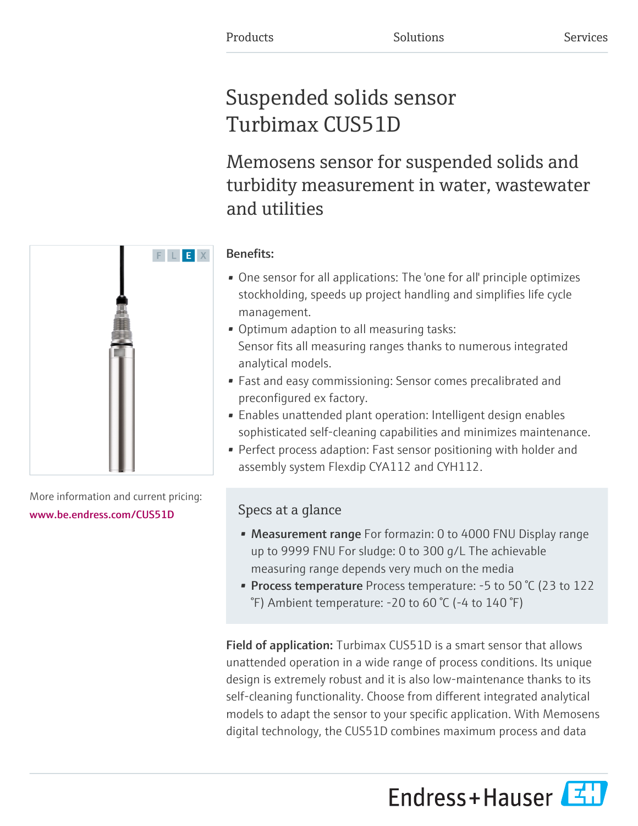# Suspended solids sensor Turbimax CUS51D

Memosens sensor for suspended solids and turbidity measurement in water, wastewater and utilities

# F L E X

Benefits:

- One sensor for all applications: The 'one for all' principle optimizes stockholding, speeds up project handling and simplifies life cycle management.
- Optimum adaption to all measuring tasks: Sensor fits all measuring ranges thanks to numerous integrated analytical models.
- Fast and easy commissioning: Sensor comes precalibrated and preconfigured ex factory.
- Enables unattended plant operation: Intelligent design enables sophisticated self-cleaning capabilities and minimizes maintenance.
- Perfect process adaption: Fast sensor positioning with holder and assembly system Flexdip CYA112 and CYH112.

## Specs at a glance

- Measurement range For formazin: 0 to 4000 FNU Display range up to 9999 FNU For sludge: 0 to 300 g/L The achievable measuring range depends very much on the media
- Process temperature Process temperature: -5 to 50 °C (23 to 122) °F) Ambient temperature: -20 to 60 °C (-4 to 140 °F)

Field of application: Turbimax CUS51D is a smart sensor that allows unattended operation in a wide range of process conditions. Its unique design is extremely robust and it is also low-maintenance thanks to its self-cleaning functionality. Choose from different integrated analytical models to adapt the sensor to your specific application. With Memosens digital technology, the CUS51D combines maximum process and data

Endress+Hauser



More information and current pricing:

[www.be.endress.com/CUS51D](https://www.be.endress.com/CUS51D)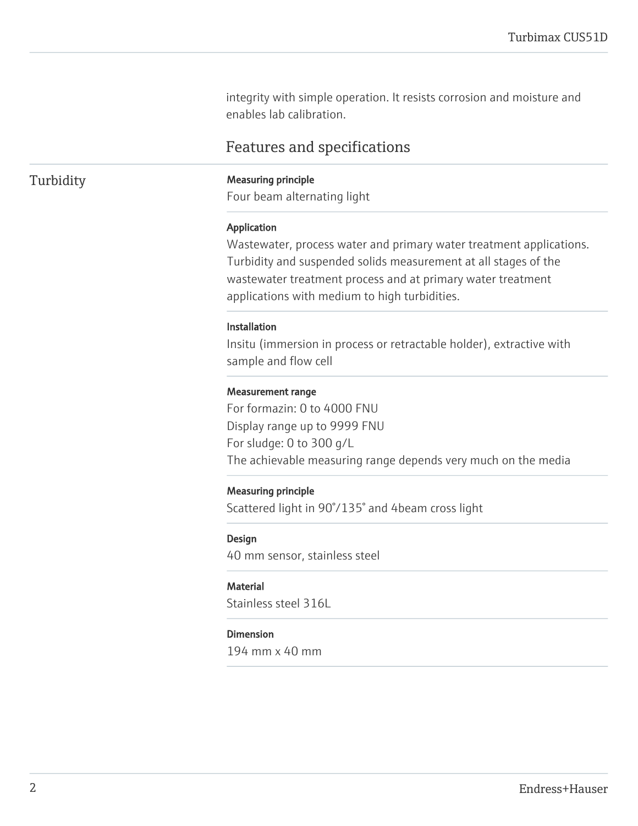integrity with simple operation. It resists corrosion and moisture and enables lab calibration.

### Features and specifications

### Turbidity **Measuring principle**

Four beam alternating light

### Application

Wastewater, process water and primary water treatment applications. Turbidity and suspended solids measurement at all stages of the wastewater treatment process and at primary water treatment applications with medium to high turbidities.

### Installation

Insitu (immersion in process or retractable holder), extractive with sample and flow cell

### Measurement range

For formazin: 0 to 4000 FNU Display range up to 9999 FNU For sludge: 0 to 300 g/L The achievable measuring range depends very much on the media

### Measuring principle

Scattered light in 90°/135° and 4beam cross light

### Design

40 mm sensor, stainless steel

### **Material**

Stainless steel 316L

### Dimension

194 mm x 40 mm